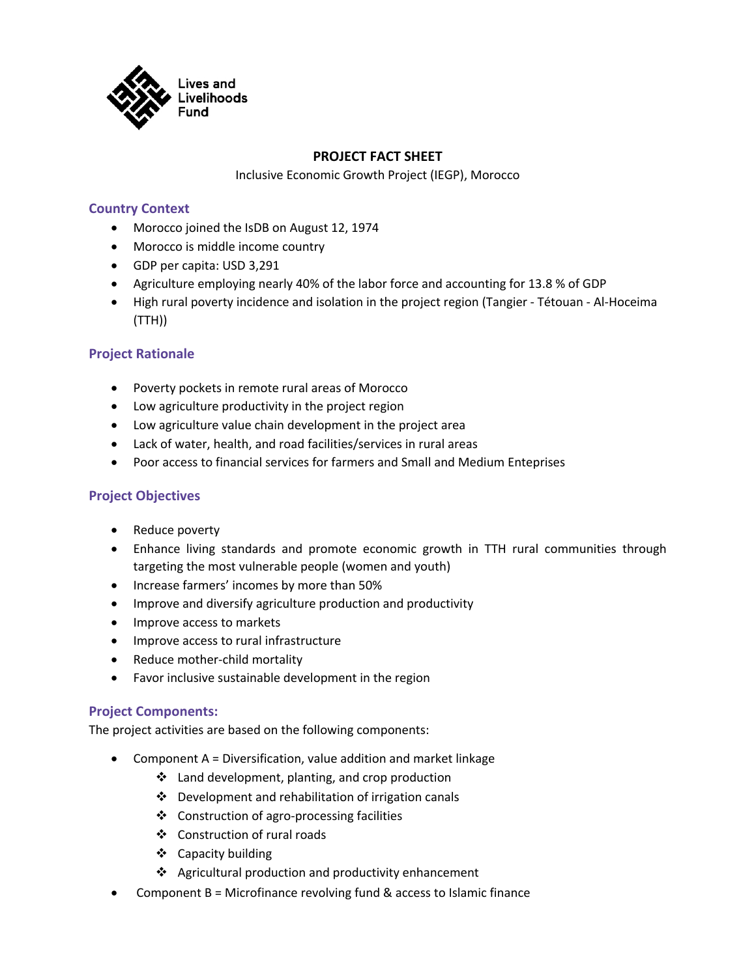

# **PROJECT FACT SHEET**

Inclusive Economic Growth Project (IEGP), Morocco

## **Country Context**

- Morocco joined the IsDB on August 12, 1974
- Morocco is middle income country
- GDP per capita: USD 3,291
- Agriculture employing nearly 40% of the labor force and accounting for 13.8 % of GDP
- High rural poverty incidence and isolation in the project region (Tangier Tétouan Al-Hoceima (TTH))

## **Project Rationale**

- Poverty pockets in remote rural areas of Morocco
- Low agriculture productivity in the project region
- Low agriculture value chain development in the project area
- Lack of water, health, and road facilities/services in rural areas
- Poor access to financial services for farmers and Small and Medium Enteprises

## **Project Objectives**

- Reduce poverty
- Enhance living standards and promote economic growth in TTH rural communities through targeting the most vulnerable people (women and youth)
- Increase farmers' incomes by more than 50%
- Improve and diversify agriculture production and productivity
- Improve access to markets
- Improve access to rural infrastructure
- Reduce mother-child mortality
- Favor inclusive sustainable development in the region

### **Project Components:**

The project activities are based on the following components:

- Component A = Diversification, value addition and market linkage
	- $\cdot$  Land development, planting, and crop production
	- $\cdot$  Development and rehabilitation of irrigation canals
	- $\div$  Construction of agro-processing facilities
	- v Construction of rural roads
	- ❖ Capacity building
	- $\triangleleft$  Agricultural production and productivity enhancement
- Component B = Microfinance revolving fund & access to Islamic finance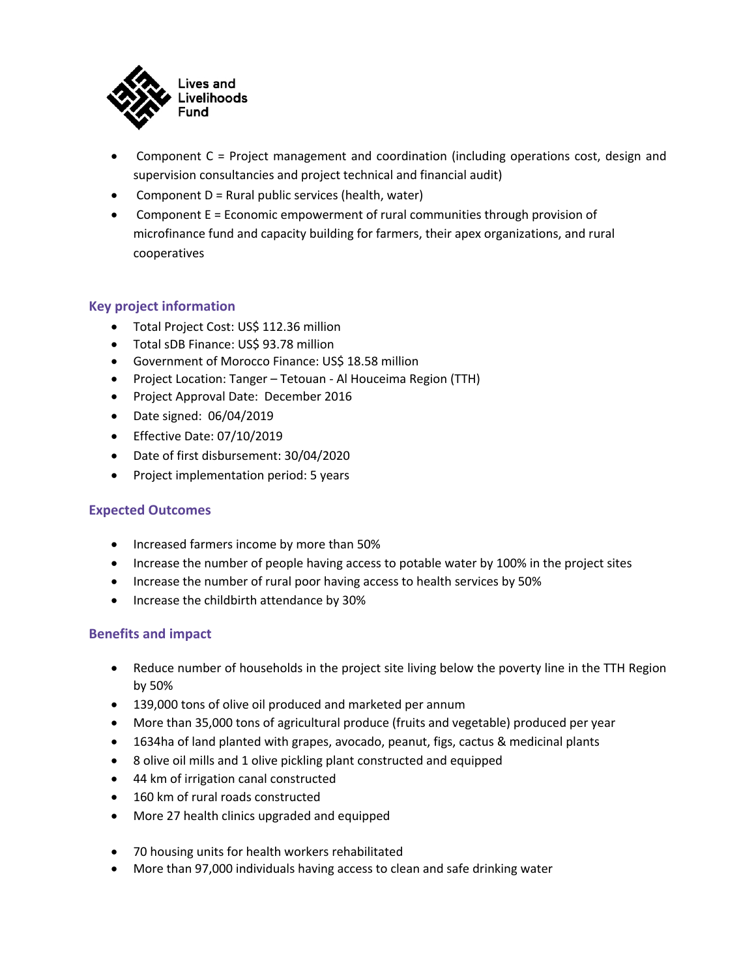

- Component C = Project management and coordination (including operations cost, design and supervision consultancies and project technical and financial audit)
- Component D = Rural public services (health, water)
- Component E = Economic empowerment of rural communities through provision of microfinance fund and capacity building for farmers, their apex organizations, and rural cooperatives

# **Key project information**

- Total Project Cost: US\$ 112.36 million
- Total sDB Finance: US\$ 93.78 million
- Government of Morocco Finance: US\$ 18.58 million
- Project Location: Tanger Tetouan Al Houceima Region (TTH)
- Project Approval Date: December 2016
- Date signed: 06/04/2019
- Effective Date: 07/10/2019
- Date of first disbursement: 30/04/2020
- Project implementation period: 5 years

### **Expected Outcomes**

- Increased farmers income by more than 50%
- Increase the number of people having access to potable water by 100% in the project sites
- Increase the number of rural poor having access to health services by 50%
- Increase the childbirth attendance by 30%

### **Benefits and impact**

- Reduce number of households in the project site living below the poverty line in the TTH Region by 50%
- 139,000 tons of olive oil produced and marketed per annum
- More than 35,000 tons of agricultural produce (fruits and vegetable) produced per year
- 1634ha of land planted with grapes, avocado, peanut, figs, cactus & medicinal plants
- 8 olive oil mills and 1 olive pickling plant constructed and equipped
- 44 km of irrigation canal constructed
- 160 km of rural roads constructed
- More 27 health clinics upgraded and equipped
- 70 housing units for health workers rehabilitated
- More than 97,000 individuals having access to clean and safe drinking water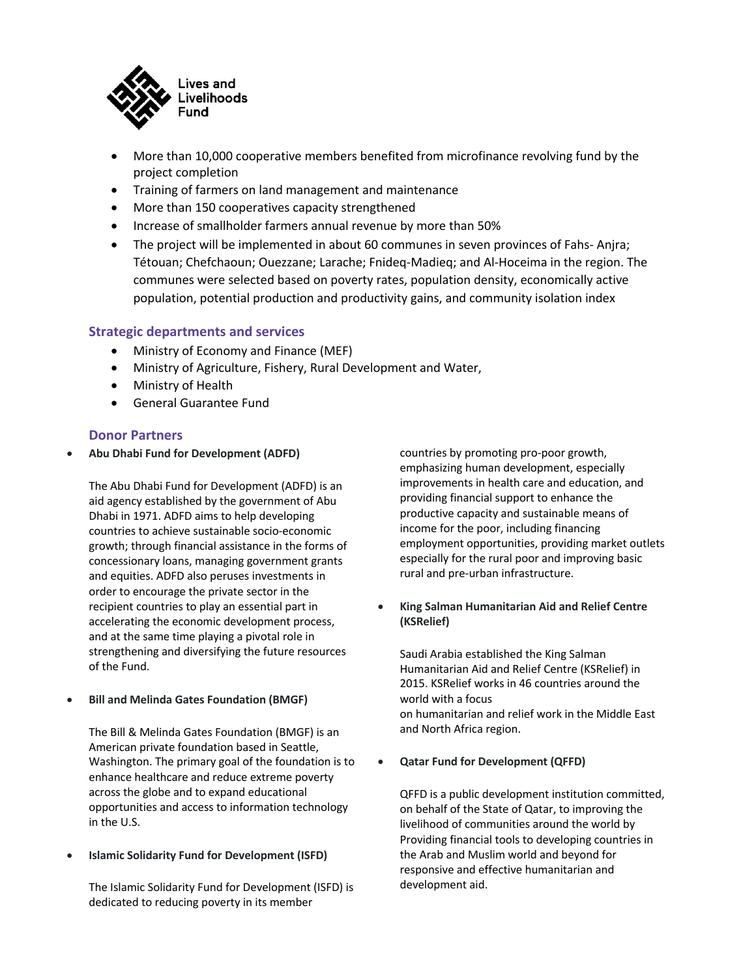

- More than 10,000 cooperative members benefited from microfinance revolving fund by the project completion
- Training of farmers on land management and maintenance
- More than 150 cooperatives capacity strengthened
- Increase of smallholder farmers annual revenue by more than 50%
- The project will be implemented in about 60 communes in seven provinces of Fahs- Anjra; Tétouan; Chefchaoun; Ouezzane; Larache; Fnideq-Madieq; and Al-Hoceima in the region. The communes were selected based on poverty rates, population density, economically active population, potential production and productivity gains, and community isolation index

### **Strategic departments and services**

- Ministry of Economy and Finance (MEF)
- Ministry of Agriculture, Fishery, Rural Development and Water,
- Ministry of Health
- General Guarantee Fund

#### **Donor Partners**

• **Abu Dhabi Fund for Development (ADFD)**

The Abu Dhabi Fund for Development (ADFD) is an aid agency established by the government of Abu Dhabi in 1971. ADFD aims to help developing countries to achieve sustainable socio-economic growth; through financial assistance in the forms of concessionary loans, managing government grants and equities. ADFD also peruses investments in order to encourage the private sector in the recipient countries to play an essential part in accelerating the economic development process, and at the same time playing a pivotal role in strengthening and diversifying the future resources of the Fund.

• **Bill and Melinda Gates Foundation (BMGF)**

The Bill & Melinda Gates Foundation (BMGF) is an American private foundation based in Seattle, Washington. The primary goal of the foundation is to enhance healthcare and reduce extreme poverty across the globe and to expand educational opportunities and access to information technology in the U.S.

• **Islamic Solidarity Fund for Development (ISFD)**

The Islamic Solidarity Fund for Development (ISFD) is dedicated to reducing poverty in its member

countries by promoting pro-poor growth, emphasizing human development, especially improvements in health care and education, and providing financial support to enhance the productive capacity and sustainable means of income for the poor, including financing employment opportunities, providing market outlets especially for the rural poor and improving basic rural and pre-urban infrastructure.

• **King Salman Humanitarian Aid and Relief Centre (KSRelief)**

Saudi Arabia established the King Salman Humanitarian Aid and Relief Centre (KSRelief) in 2015. KSRelief works in 46 countries around the world with a focus on humanitarian and relief work in the Middle East and North Africa region.

#### • **Qatar Fund for Development (QFFD)**

QFFD is a public development institution committed, on behalf of the State of Qatar, to improving the livelihood of communities around the world by Providing financial tools to developing countries in the Arab and Muslim world and beyond for responsive and effective humanitarian and development aid.